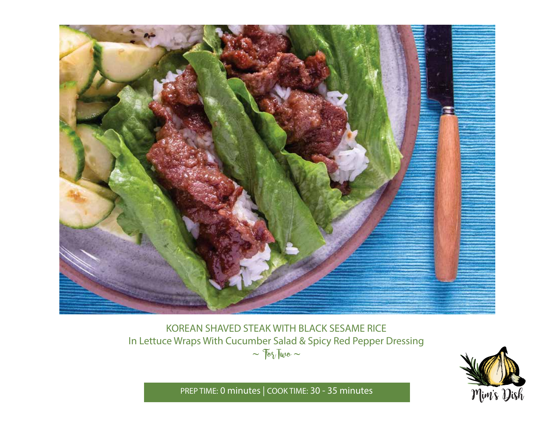

# KOREAN SHAVED STEAK WITH BLACK SESAME RICE In Lettuce Wraps With Cucumber Salad & Spicy Red Pepper Dressing  $\sim$   $70\sqrt{100}$   $\sim$



PREP TIME: **0 minutes** | COOK TIME: **30 - 35 minutes**